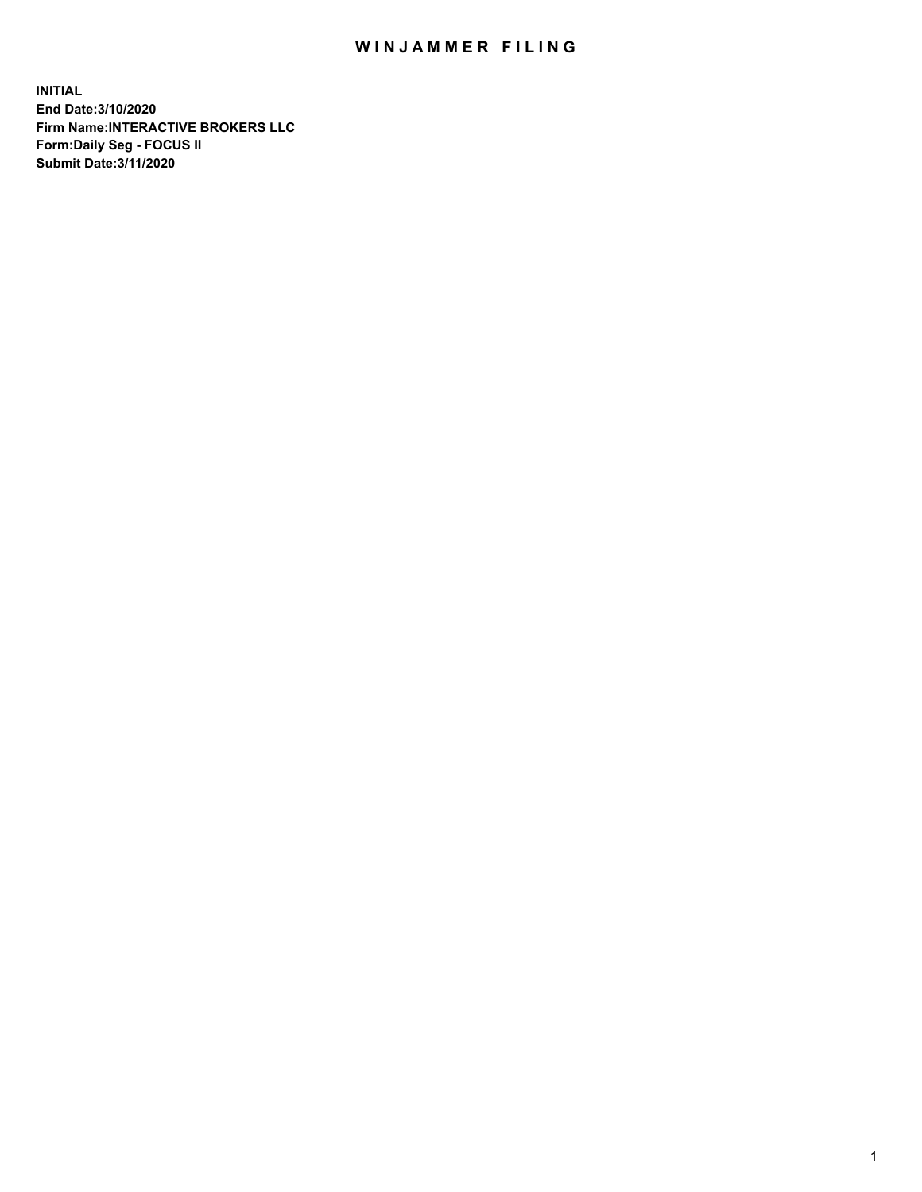## WIN JAMMER FILING

**INITIAL End Date:3/10/2020 Firm Name:INTERACTIVE BROKERS LLC Form:Daily Seg - FOCUS II Submit Date:3/11/2020**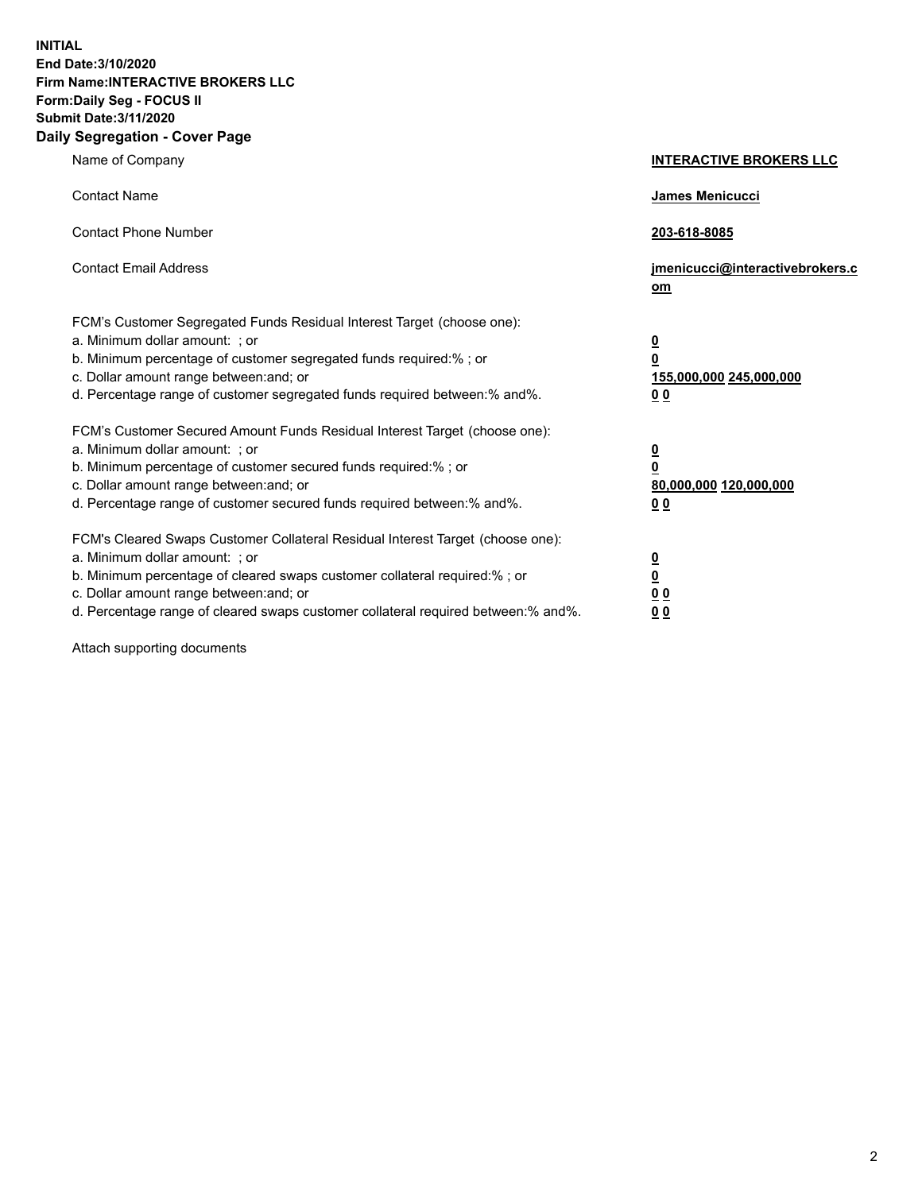**INITIAL End Date:3/10/2020 Firm Name:INTERACTIVE BROKERS LLC Form:Daily Seg - FOCUS II Submit Date:3/11/2020 Daily Segregation - Cover Page**

| Name of Company                                                                                                                                                                                                                                                                                                               | <b>INTERACTIVE BROKERS LLC</b>                                                   |
|-------------------------------------------------------------------------------------------------------------------------------------------------------------------------------------------------------------------------------------------------------------------------------------------------------------------------------|----------------------------------------------------------------------------------|
| <b>Contact Name</b>                                                                                                                                                                                                                                                                                                           | James Menicucci                                                                  |
| <b>Contact Phone Number</b>                                                                                                                                                                                                                                                                                                   | 203-618-8085                                                                     |
| <b>Contact Email Address</b>                                                                                                                                                                                                                                                                                                  | jmenicucci@interactivebrokers.c<br>om                                            |
| FCM's Customer Segregated Funds Residual Interest Target (choose one):<br>a. Minimum dollar amount: ; or<br>b. Minimum percentage of customer segregated funds required:% ; or<br>c. Dollar amount range between: and; or<br>d. Percentage range of customer segregated funds required between:% and%.                        | <u>0</u><br>$\overline{\mathbf{0}}$<br>155,000,000 245,000,000<br>0 <sub>0</sub> |
| FCM's Customer Secured Amount Funds Residual Interest Target (choose one):<br>a. Minimum dollar amount: ; or<br>b. Minimum percentage of customer secured funds required:%; or<br>c. Dollar amount range between: and; or<br>d. Percentage range of customer secured funds required between:% and%.                           | <u>0</u><br>$\overline{\mathbf{0}}$<br>80,000,000 120,000,000<br>0 <sub>0</sub>  |
| FCM's Cleared Swaps Customer Collateral Residual Interest Target (choose one):<br>a. Minimum dollar amount: ; or<br>b. Minimum percentage of cleared swaps customer collateral required:%; or<br>c. Dollar amount range between: and; or<br>d. Percentage range of cleared swaps customer collateral required between:% and%. | <u>0</u><br>$\underline{\mathbf{0}}$<br>0 <sub>0</sub><br>0 <sub>0</sub>         |

Attach supporting documents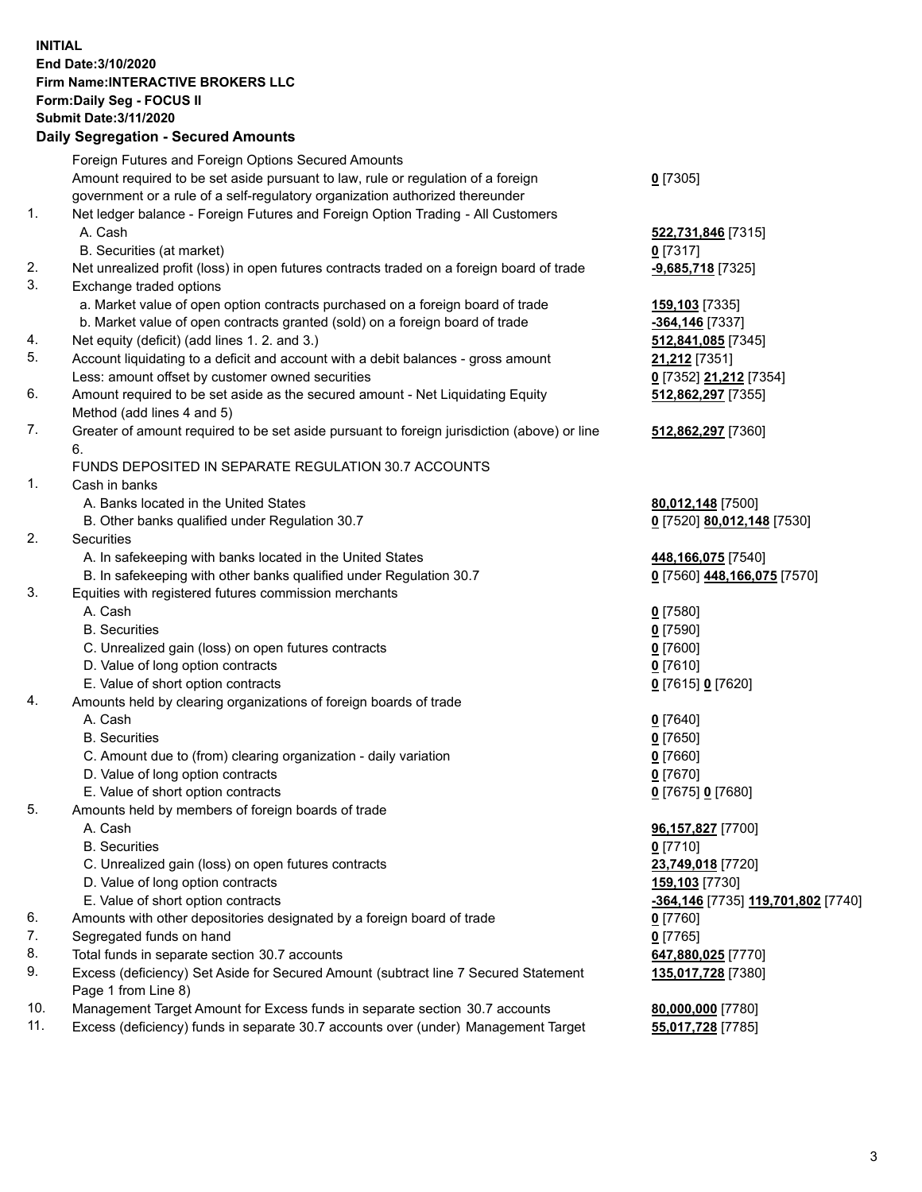**INITIAL End Date:3/10/2020 Firm Name:INTERACTIVE BROKERS LLC Form:Daily Seg - FOCUS II Submit Date:3/11/2020 Daily Segregation - Secured Amounts**

|                | <u>Dany Ocymganon - Occarca Amoante</u>                                                                    |                                                 |
|----------------|------------------------------------------------------------------------------------------------------------|-------------------------------------------------|
|                | Foreign Futures and Foreign Options Secured Amounts                                                        |                                                 |
|                | Amount required to be set aside pursuant to law, rule or regulation of a foreign                           | $0$ [7305]                                      |
|                | government or a rule of a self-regulatory organization authorized thereunder                               |                                                 |
| $\mathbf{1}$ . | Net ledger balance - Foreign Futures and Foreign Option Trading - All Customers                            |                                                 |
|                | A. Cash                                                                                                    | 522,731,846 [7315]                              |
|                | B. Securities (at market)                                                                                  | $0$ [7317]                                      |
| 2.             | Net unrealized profit (loss) in open futures contracts traded on a foreign board of trade                  | -9,685,718 [7325]                               |
| 3.             | Exchange traded options                                                                                    |                                                 |
|                | a. Market value of open option contracts purchased on a foreign board of trade                             | 159,103 [7335]                                  |
|                | b. Market value of open contracts granted (sold) on a foreign board of trade                               | -364,146 [7337]                                 |
| 4.             | Net equity (deficit) (add lines 1. 2. and 3.)                                                              | 512,841,085 [7345]                              |
| 5.             | Account liquidating to a deficit and account with a debit balances - gross amount                          | <b>21,212</b> [7351]                            |
|                | Less: amount offset by customer owned securities                                                           | 0 [7352] 21,212 [7354]                          |
| 6.             | Amount required to be set aside as the secured amount - Net Liquidating Equity                             | 512,862,297 [7355]                              |
|                | Method (add lines 4 and 5)                                                                                 |                                                 |
| 7.             | Greater of amount required to be set aside pursuant to foreign jurisdiction (above) or line<br>6.          | 512,862,297 [7360]                              |
|                | FUNDS DEPOSITED IN SEPARATE REGULATION 30.7 ACCOUNTS                                                       |                                                 |
| $\mathbf{1}$ . | Cash in banks                                                                                              |                                                 |
|                | A. Banks located in the United States                                                                      | 80,012,148 [7500]                               |
|                | B. Other banks qualified under Regulation 30.7                                                             | 0 [7520] 80,012,148 [7530]                      |
| 2.             | Securities                                                                                                 |                                                 |
|                | A. In safekeeping with banks located in the United States                                                  | 448,166,075 [7540]                              |
|                | B. In safekeeping with other banks qualified under Regulation 30.7                                         | 0 [7560] 448,166,075 [7570]                     |
| 3.             | Equities with registered futures commission merchants                                                      |                                                 |
|                | A. Cash                                                                                                    | $0$ [7580]                                      |
|                | <b>B.</b> Securities                                                                                       | $0$ [7590]                                      |
|                | C. Unrealized gain (loss) on open futures contracts                                                        | $0$ [7600]                                      |
|                | D. Value of long option contracts                                                                          | $0$ [7610]                                      |
|                | E. Value of short option contracts                                                                         | 0 [7615] 0 [7620]                               |
| 4.             | Amounts held by clearing organizations of foreign boards of trade                                          |                                                 |
|                | A. Cash                                                                                                    | $0$ [7640]                                      |
|                | <b>B.</b> Securities                                                                                       | $0$ [7650]                                      |
|                | C. Amount due to (from) clearing organization - daily variation                                            | $0$ [7660]                                      |
|                | D. Value of long option contracts                                                                          | $0$ [7670]                                      |
|                | E. Value of short option contracts                                                                         | 0 [7675] 0 [7680]                               |
| 5.             | Amounts held by members of foreign boards of trade                                                         |                                                 |
|                | A. Cash                                                                                                    | 96,157,827 [7700]                               |
|                | <b>B.</b> Securities                                                                                       | $0$ [7710]                                      |
|                | C. Unrealized gain (loss) on open futures contracts                                                        | 23,749,018 [7720]                               |
|                | D. Value of long option contracts                                                                          | 159,103 [7730]                                  |
|                | E. Value of short option contracts                                                                         | <mark>-364,146</mark> [7735] 119,701,802 [7740] |
| 6.             | Amounts with other depositories designated by a foreign board of trade                                     | 0 [7760]                                        |
| 7.             | Segregated funds on hand                                                                                   | $0$ [7765]                                      |
| 8.             | Total funds in separate section 30.7 accounts                                                              | 647,880,025 [7770]                              |
| 9.             | Excess (deficiency) Set Aside for Secured Amount (subtract line 7 Secured Statement<br>Page 1 from Line 8) | 135,017,728 [7380]                              |
| 10.            | Management Target Amount for Excess funds in separate section 30.7 accounts                                | 80,000,000 [7780]                               |
| 11.            | Excess (deficiency) funds in separate 30.7 accounts over (under) Management Target                         | 55,017,728 [7785]                               |
|                |                                                                                                            |                                                 |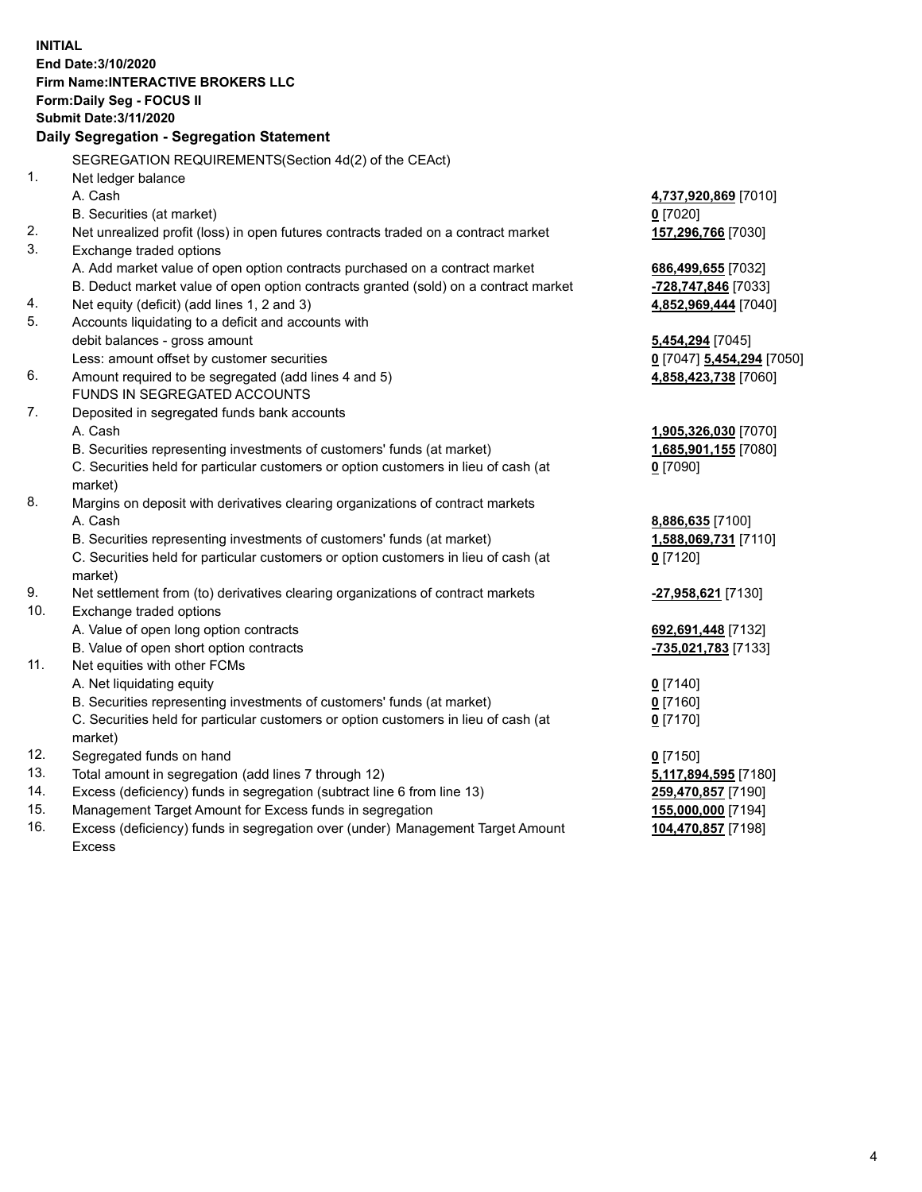**INITIAL End Date:3/10/2020 Firm Name:INTERACTIVE BROKERS LLC Form:Daily Seg - FOCUS II Submit Date:3/11/2020 Daily Segregation - Segregation Statement** SEGREGATION REQUIREMENTS(Section 4d(2) of the CEAct) 1. Net ledger balance A. Cash **4,737,920,869** [7010] B. Securities (at market) **0** [7020] 2. Net unrealized profit (loss) in open futures contracts traded on a contract market **157,296,766** [7030] 3. Exchange traded options A. Add market value of open option contracts purchased on a contract market **686,499,655** [7032] B. Deduct market value of open option contracts granted (sold) on a contract market **-728,747,846** [7033] 4. Net equity (deficit) (add lines 1, 2 and 3) **4,852,969,444** [7040] 5. Accounts liquidating to a deficit and accounts with debit balances - gross amount **5,454,294** [7045] Less: amount offset by customer securities **0** [7047] **5,454,294** [7050] 6. Amount required to be segregated (add lines 4 and 5) **4,858,423,738** [7060] FUNDS IN SEGREGATED ACCOUNTS 7. Deposited in segregated funds bank accounts A. Cash **1,905,326,030** [7070] B. Securities representing investments of customers' funds (at market) **1,685,901,155** [7080] C. Securities held for particular customers or option customers in lieu of cash (at market) **0** [7090] 8. Margins on deposit with derivatives clearing organizations of contract markets A. Cash **8,886,635** [7100] B. Securities representing investments of customers' funds (at market) **1,588,069,731** [7110] C. Securities held for particular customers or option customers in lieu of cash (at market) **0** [7120] 9. Net settlement from (to) derivatives clearing organizations of contract markets **-27,958,621** [7130] 10. Exchange traded options A. Value of open long option contracts **692,691,448** [7132] B. Value of open short option contracts **-735,021,783** [7133] 11. Net equities with other FCMs A. Net liquidating equity **0** [7140] B. Securities representing investments of customers' funds (at market) **0** [7160] C. Securities held for particular customers or option customers in lieu of cash (at market) **0** [7170] 12. Segregated funds on hand **0** [7150] 13. Total amount in segregation (add lines 7 through 12) **5,117,894,595** [7180] 14. Excess (deficiency) funds in segregation (subtract line 6 from line 13) **259,470,857** [7190] 15. Management Target Amount for Excess funds in segregation **155,000,000** [7194] 16. Excess (deficiency) funds in segregation over (under) Management Target Amount **104,470,857** [7198]

Excess